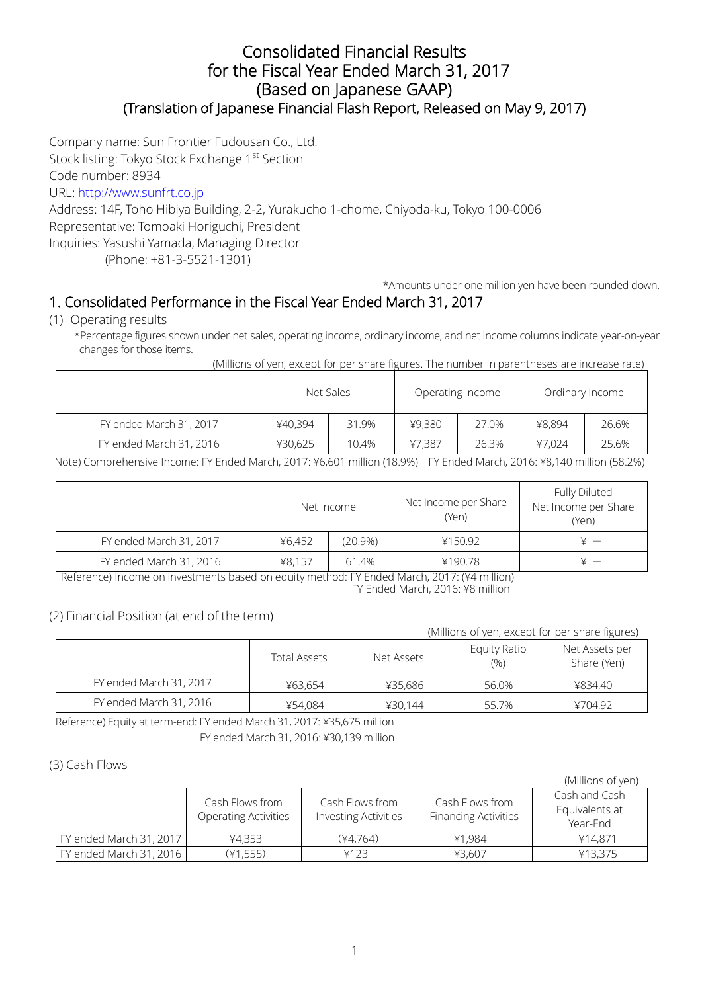## Consolidated Financial Results for the Fiscal Year Ended March 31, 2017 (Based on Japanese GAAP) (Translation of Japanese Financial Flash Report, Released on May 9, 2017)

Company name: Sun Frontier Fudousan Co., Ltd.

Stock listing: Tokyo Stock Exchange 1st Section

Code number: 8934

URL: [http://www.sunfrt.co.jp](http://www.sunfrt.co.jp/)

Address: 14F, Toho Hibiya Building, 2-2, Yurakucho 1-chome, Chiyoda-ku, Tokyo 100-0006 Representative: Tomoaki Horiguchi, President Inquiries: Yasushi Yamada, Managing Director

(Phone: +81-3-5521-1301)

\*Amounts under one million yen have been rounded down.

# 1. Consolidated Performance in the Fiscal Year Ended March 31, 2017

(1) Operating results

\*Percentage figures shown under net sales, operating income, ordinary income, and net income columns indicate year-on-year changes for those items.

(Millions of yen, except for per share figures. The number in parentheses are increase rate)

|                         | Net Sales |       | Operating Income |       | Ordinary Income |       |
|-------------------------|-----------|-------|------------------|-------|-----------------|-------|
| FY ended March 31, 2017 | ¥40,394   | 31.9% | ¥9,380           | 27.0% | ¥8,894          | 26.6% |
| FY ended March 31, 2016 | ¥30,625   | 10.4% | ¥7.387           | 26.3% | ¥7.024          | 25.6% |

Note) Comprehensive Income: FY Ended March, 2017: ¥6,601 million (18.9%) FY Ended March, 2016: ¥8,140 million (58.2%)

|                         | Net Income |         | Net Income per Share<br>(Yen) | Fully Diluted<br>Net Income per Share<br>(Yen) |
|-------------------------|------------|---------|-------------------------------|------------------------------------------------|
| FY ended March 31, 2017 | ¥6.452     | (20.9%) | ¥150.92                       |                                                |
| FY ended March 31, 2016 | ¥8.157     | 61.4%   | ¥190.78                       |                                                |

Reference) Income on investments based on equity method: FY Ended March, 2017: (¥4 million) FY Ended March, 2016: ¥8 million

### (2) Financial Position (at end of the term)

| (Millions of yen, except for per share figures) |                     |            |                            |                               |  |  |  |  |  |  |
|-------------------------------------------------|---------------------|------------|----------------------------|-------------------------------|--|--|--|--|--|--|
|                                                 | <b>Total Assets</b> | Net Assets | <b>Equity Ratio</b><br>(%) | Net Assets per<br>Share (Yen) |  |  |  |  |  |  |
| FY ended March 31, 2017                         | ¥63,654             | ¥35,686    | 56.0%                      | ¥834.40                       |  |  |  |  |  |  |
| FY ended March 31, 2016                         | ¥54.084             | ¥30.144    | 55.7%                      | ¥704.92                       |  |  |  |  |  |  |

Reference) Equity at term-end: FY ended March 31, 2017: ¥35,675 million FY ended March 31, 2016: ¥30,139 million

### (3) Cash Flows

|                         |                                                |                                                |                                                | (Millions of yen)                           |
|-------------------------|------------------------------------------------|------------------------------------------------|------------------------------------------------|---------------------------------------------|
|                         | Cash Flows from<br><b>Operating Activities</b> | Cash Flows from<br><b>Investing Activities</b> | Cash Flows from<br><b>Financing Activities</b> | Cash and Cash<br>Equivalents at<br>Year-End |
| FY ended March 31, 2017 | ¥4,353                                         | $(*4.764)$                                     | ¥1.984                                         | ¥14,871                                     |
| FY ended March 31, 2016 | (41, 555)                                      | 4123                                           | ¥3.607                                         | ¥13,375                                     |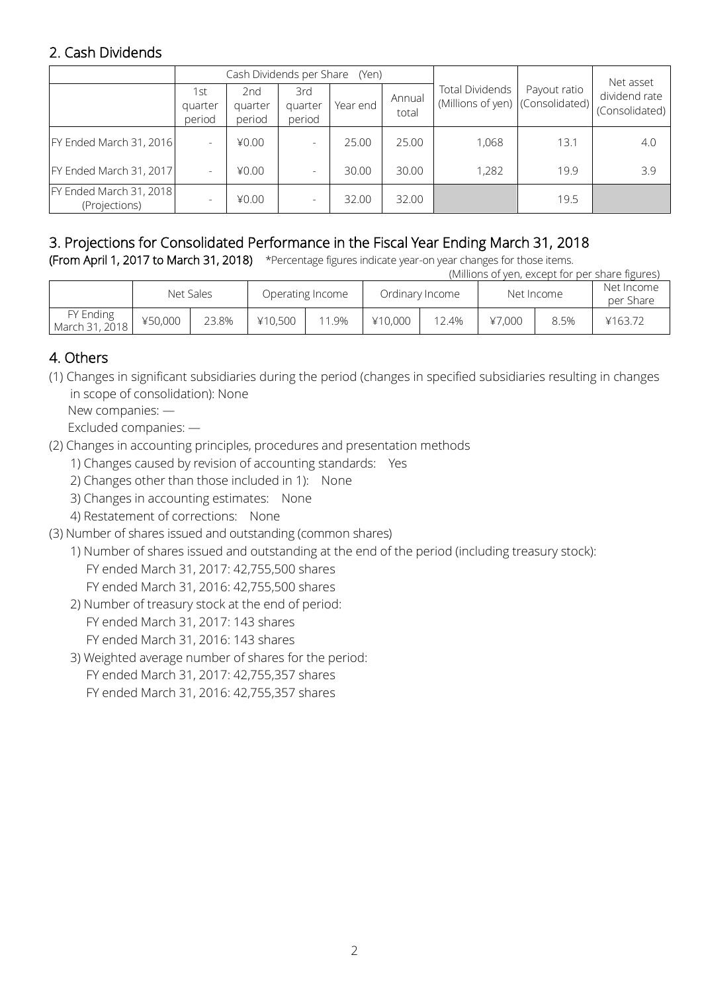# 2. Cash Dividends

|                                          |                          | Cash Dividends per Share |                          | (Yen)    |                 |                                                            | Net asset    |                                 |
|------------------------------------------|--------------------------|--------------------------|--------------------------|----------|-----------------|------------------------------------------------------------|--------------|---------------------------------|
|                                          | 1st<br>quarter<br>period | 2nd<br>quarter<br>period | 3rd<br>quarter<br>period | Year end | Annual<br>total | <b>Total Dividends</b><br>(Millions of yen) (Consolidated) | Payout ratio | dividend rate<br>(Consolidated) |
| FY Ended March 31, 2016                  |                          | 40.00                    |                          | 25.00    | 25.00           | 1,068                                                      | 13.1         | 4.0                             |
| FY Ended March 31, 2017                  |                          | 40.00                    |                          | 30.00    | 30.00           | 1,282                                                      | 19.9         | 3.9                             |
| FY Ended March 31, 2018<br>(Projections) |                          | 40.00                    |                          | 32.00    | 32.00           |                                                            | 19.5         |                                 |

# 3. Projections for Consolidated Performance in the Fiscal Year Ending March 31, 2018

(From April 1, 2017 to March 31, 2018) \*Percentage figures indicate year-on year changes for those items.

|                             | (Millions of yen, except for per share figures) |           |         |                  |         |                 |        |            |         |  |                         |  |
|-----------------------------|-------------------------------------------------|-----------|---------|------------------|---------|-----------------|--------|------------|---------|--|-------------------------|--|
|                             |                                                 | Net Sales |         | Operating Income |         | Ordinary Income |        | Net Income |         |  | Net Income<br>per Share |  |
| FY Ending<br>March 31, 2018 | ¥50,000                                         | 23.8%     | ¥10,500 | 11.9%            | ¥10,000 | 12.4%           | 47.000 | 8.5%       | ¥163.72 |  |                         |  |

## 4. Others

(1) Changes in significant subsidiaries during the period (changes in specified subsidiaries resulting in changes in scope of consolidation): None

New companies: —

Excluded companies: —

- (2) Changes in accounting principles, procedures and presentation methods
	- 1) Changes caused by revision of accounting standards: Yes
	- 2) Changes other than those included in 1): None
	- 3) Changes in accounting estimates: None
	- 4) Restatement of corrections: None
- (3) Number of shares issued and outstanding (common shares)
	- 1) Number of shares issued and outstanding at the end of the period (including treasury stock): FY ended March 31, 2017: 42,755,500 shares
		- FY ended March 31, 2016: 42,755,500 shares
	- 2) Number of treasury stock at the end of period:
		- FY ended March 31, 2017: 143 shares FY ended March 31, 2016: 143 shares
	- 3) Weighted average number of shares for the period: FY ended March 31, 2017: 42,755,357 shares FY ended March 31, 2016: 42,755,357 shares